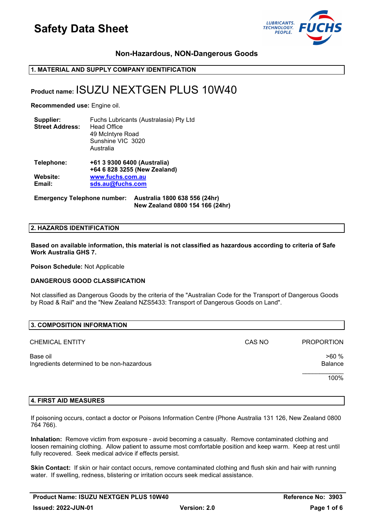

## **Non-Hazardous, NON-Dangerous Goods**

## **1. MATERIAL AND SUPPLY COMPANY IDENTIFICATION**

## **Product name:** ISUZU NEXTGEN PLUS 10W40

**Recommended use:** Engine oil.

| Supplier:<br><b>Street Address:</b> | Fuchs Lubricants (Australasia) Pty Ltd<br><b>Head Office</b><br>49 McIntyre Road<br>Sunshine VIC 3020<br>Australia |
|-------------------------------------|--------------------------------------------------------------------------------------------------------------------|
| Telephone:                          | +61 3 9300 6400 (Australia)<br>+64 6 828 3255 (New Zealand)                                                        |
| Website:                            | www.fuchs.com.au                                                                                                   |

**Email: [sds.au@fuchs.com](mailto:sds.au@fuchs.com)**

**Emergency Telephone number: Australia 1800 638 556 (24hr) New Zealand 0800 154 166 (24hr)**

#### **2. HAZARDS IDENTIFICATION**

**Based on available information, this material is not classified as hazardous according to criteria of Safe Work Australia GHS 7.** 

**Poison Schedule:** Not Applicable

### **DANGEROUS GOOD CLASSIFICATION**

Not classified as Dangerous Goods by the criteria of the "Australian Code for the Transport of Dangerous Goods by Road & Rail" and the "New Zealand NZS5433: Transport of Dangerous Goods on Land".

| 3. COMPOSITION INFORMATION                             |        |                   |
|--------------------------------------------------------|--------|-------------------|
| <b>CHEMICAL ENTITY</b>                                 | CAS NO | <b>PROPORTION</b> |
| Base oil<br>Ingredients determined to be non-hazardous |        | >60%<br>Balance   |
|                                                        |        | 100%              |
|                                                        |        |                   |

### **4. FIRST AID MEASURES**

If poisoning occurs, contact a doctor or Poisons Information Centre (Phone Australia 131 126, New Zealand 0800 764 766).

**Inhalation:** Remove victim from exposure - avoid becoming a casualty. Remove contaminated clothing and loosen remaining clothing. Allow patient to assume most comfortable position and keep warm. Keep at rest until fully recovered. Seek medical advice if effects persist.

**Skin Contact:** If skin or hair contact occurs, remove contaminated clothing and flush skin and hair with running water. If swelling, redness, blistering or irritation occurs seek medical assistance.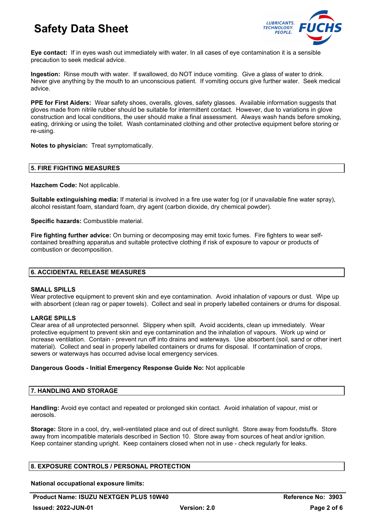

**Eye contact:** If in eyes wash out immediately with water. In all cases of eye contamination it is a sensible precaution to seek medical advice.

**Ingestion:** Rinse mouth with water. If swallowed, do NOT induce vomiting. Give a glass of water to drink. Never give anything by the mouth to an unconscious patient. If vomiting occurs give further water. Seek medical advice.

**PPE for First Aiders:** Wear safety shoes, overalls, gloves, safety glasses. Available information suggests that gloves made from nitrile rubber should be suitable for intermittent contact. However, due to variations in glove construction and local conditions, the user should make a final assessment. Always wash hands before smoking, eating, drinking or using the toilet. Wash contaminated clothing and other protective equipment before storing or re-using.

**Notes to physician:** Treat symptomatically.

#### **5. FIRE FIGHTING MEASURES**

**Hazchem Code:** Not applicable.

**Suitable extinguishing media:** If material is involved in a fire use water fog (or if unavailable fine water spray), alcohol resistant foam, standard foam, dry agent (carbon dioxide, dry chemical powder).

**Specific hazards:** Combustible material.

**Fire fighting further advice:** On burning or decomposing may emit toxic fumes. Fire fighters to wear selfcontained breathing apparatus and suitable protective clothing if risk of exposure to vapour or products of combustion or decomposition.

### **6. ACCIDENTAL RELEASE MEASURES**

#### **SMALL SPILLS**

Wear protective equipment to prevent skin and eye contamination. Avoid inhalation of vapours or dust. Wipe up with absorbent (clean rag or paper towels). Collect and seal in properly labelled containers or drums for disposal.

#### **LARGE SPILLS**

Clear area of all unprotected personnel. Slippery when spilt. Avoid accidents, clean up immediately. Wear protective equipment to prevent skin and eye contamination and the inhalation of vapours. Work up wind or increase ventilation. Contain - prevent run off into drains and waterways. Use absorbent (soil, sand or other inert material). Collect and seal in properly labelled containers or drums for disposal. If contamination of crops, sewers or waterways has occurred advise local emergency services.

### **Dangerous Goods - Initial Emergency Response Guide No:** Not applicable

#### **7. HANDLING AND STORAGE**

**Handling:** Avoid eye contact and repeated or prolonged skin contact. Avoid inhalation of vapour, mist or aerosols.

**Storage:** Store in a cool, dry, well-ventilated place and out of direct sunlight. Store away from foodstuffs. Store away from incompatible materials described in Section 10. Store away from sources of heat and/or ignition. Keep container standing upright. Keep containers closed when not in use - check regularly for leaks.

### **8. EXPOSURE CONTROLS / PERSONAL PROTECTION**

**National occupational exposure limits:** 

**Product Name: ISUZU NEXTGEN PLUS 10W40 Reference No: 3903**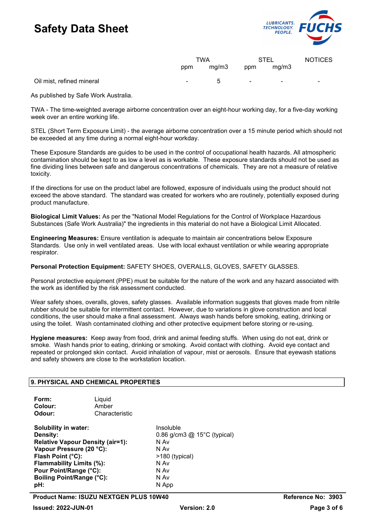

|                          | TWA      |      | <b>STEL</b>              |   |
|--------------------------|----------|------|--------------------------|---|
| ppm                      | mg/m3    | ppm  | mg/m3                    |   |
| $\overline{\phantom{0}}$ | г<br>. . | $\,$ | $\overline{\phantom{0}}$ | - |

As published by Safe Work Australia.

Oil mist, refined mineral

TWA - The time-weighted average airborne concentration over an eight-hour working day, for a five-day working week over an entire working life.

STEL (Short Term Exposure Limit) - the average airborne concentration over a 15 minute period which should not be exceeded at any time during a normal eight-hour workday.

These Exposure Standards are guides to be used in the control of occupational health hazards. All atmospheric contamination should be kept to as low a level as is workable. These exposure standards should not be used as fine dividing lines between safe and dangerous concentrations of chemicals. They are not a measure of relative toxicity.

If the directions for use on the product label are followed, exposure of individuals using the product should not exceed the above standard. The standard was created for workers who are routinely, potentially exposed during product manufacture.

**Biological Limit Values:** As per the "National Model Regulations for the Control of Workplace Hazardous Substances (Safe Work Australia)" the ingredients in this material do not have a Biological Limit Allocated.

**Engineering Measures:** Ensure ventilation is adequate to maintain air concentrations below Exposure Standards. Use only in well ventilated areas. Use with local exhaust ventilation or while wearing appropriate respirator.

**Personal Protection Equipment:** SAFETY SHOES, OVERALLS, GLOVES, SAFETY GLASSES.

Personal protective equipment (PPE) must be suitable for the nature of the work and any hazard associated with the work as identified by the risk assessment conducted.

Wear safety shoes, overalls, gloves, safety glasses. Available information suggests that gloves made from nitrile rubber should be suitable for intermittent contact. However, due to variations in glove construction and local conditions, the user should make a final assessment. Always wash hands before smoking, eating, drinking or using the toilet. Wash contaminated clothing and other protective equipment before storing or re-using.

**Hygiene measures:** Keep away from food, drink and animal feeding stuffs. When using do not eat, drink or smoke. Wash hands prior to eating, drinking or smoking. Avoid contact with clothing. Avoid eye contact and repeated or prolonged skin contact. Avoid inhalation of vapour, mist or aerosols. Ensure that eyewash stations and safety showers are close to the workstation location.

### **9. PHYSICAL AND CHEMICAL PROPERTIES**

| Form:<br>Colour:<br>Odour:              | Liquid<br>Amber<br>Characteristic |                               |
|-----------------------------------------|-----------------------------------|-------------------------------|
| Solubility in water:                    |                                   | Insoluble                     |
| <b>Density:</b>                         |                                   | 0.86 g/cm3 $@$ 15°C (typical) |
| <b>Relative Vapour Density (air=1):</b> |                                   | N Av                          |
| Vapour Pressure (20 °C):                |                                   | N Av                          |
| Flash Point (°C):                       |                                   | >180 (typical)                |
| Flammability Limits (%):                |                                   | N Av                          |
| Pour Point/Range (°C):                  |                                   | N Av                          |
| <b>Boiling Point/Range (°C):</b>        |                                   | N Av                          |
| pH:                                     |                                   | N App                         |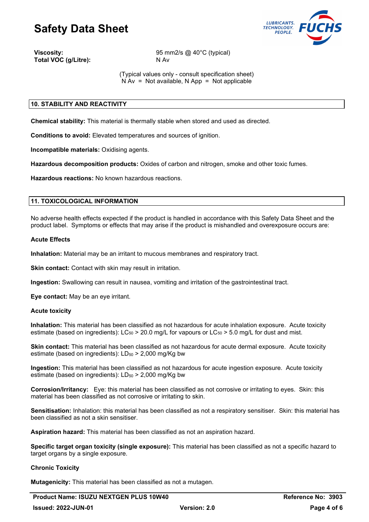

**Total VOC (g/Litre):** 

**Viscosity:** 95 mm2/s @ 40°C (typical)<br> **Total VOC (g/Litre):** N Av N Av

(Typical values only - consult specification sheet)  $N Av = Not available, N App = Not applicable$ 

## **10. STABILITY AND REACTIVITY**

**Chemical stability:** This material is thermally stable when stored and used as directed.

**Conditions to avoid:** Elevated temperatures and sources of ignition.

**Incompatible materials:** Oxidising agents.

**Hazardous decomposition products:** Oxides of carbon and nitrogen, smoke and other toxic fumes.

**Hazardous reactions:** No known hazardous reactions.

### **11. TOXICOLOGICAL INFORMATION**

No adverse health effects expected if the product is handled in accordance with this Safety Data Sheet and the product label. Symptoms or effects that may arise if the product is mishandled and overexposure occurs are:

#### **Acute Effects**

**Inhalation:** Material may be an irritant to mucous membranes and respiratory tract.

**Skin contact:** Contact with skin may result in irritation.

**Ingestion:** Swallowing can result in nausea, vomiting and irritation of the gastrointestinal tract.

**Eye contact:** May be an eye irritant.

### **Acute toxicity**

**Inhalation:** This material has been classified as not hazardous for acute inhalation exposure. Acute toxicity estimate (based on ingredients):  $LC_{50} > 20.0$  mg/L for vapours or  $LC_{50} > 5.0$  mg/L for dust and mist.

**Skin contact:** This material has been classified as not hazardous for acute dermal exposure. Acute toxicity estimate (based on ingredients):  $LD_{50}$  > 2,000 mg/Kg bw

**Ingestion:** This material has been classified as not hazardous for acute ingestion exposure. Acute toxicity estimate (based on ingredients):  $LD_{50}$  > 2,000 mg/Kg bw

**Corrosion/Irritancy:** Eye: this material has been classified as not corrosive or irritating to eyes. Skin: this material has been classified as not corrosive or irritating to skin.

**Sensitisation:** Inhalation: this material has been classified as not a respiratory sensitiser. Skin: this material has been classified as not a skin sensitiser.

**Aspiration hazard:** This material has been classified as not an aspiration hazard.

**Specific target organ toxicity (single exposure):** This material has been classified as not a specific hazard to target organs by a single exposure.

### **Chronic Toxicity**

**Mutagenicity:** This material has been classified as not a mutagen.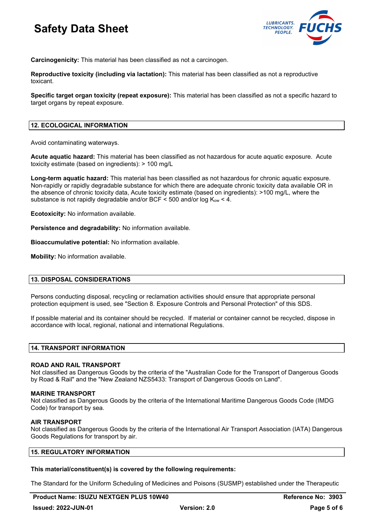

**Carcinogenicity:** This material has been classified as not a carcinogen.

**Reproductive toxicity (including via lactation):** This material has been classified as not a reproductive toxicant.

**Specific target organ toxicity (repeat exposure):** This material has been classified as not a specific hazard to target organs by repeat exposure.

#### **12. ECOLOGICAL INFORMATION**

Avoid contaminating waterways.

**Acute aquatic hazard:** This material has been classified as not hazardous for acute aquatic exposure. Acute toxicity estimate (based on ingredients): > 100 mg/L

**Long-term aquatic hazard:** This material has been classified as not hazardous for chronic aquatic exposure. Non-rapidly or rapidly degradable substance for which there are adequate chronic toxicity data available OR in the absence of chronic toxicity data, Acute toxicity estimate (based on ingredients): >100 mg/L, where the substance is not rapidly degradable and/or BCF  $\leq$  500 and/or log Kow  $\leq$  4.

**Ecotoxicity:** No information available.

**Persistence and degradability:** No information available.

**Bioaccumulative potential:** No information available.

**Mobility:** No information available.

### **13. DISPOSAL CONSIDERATIONS**

Persons conducting disposal, recycling or reclamation activities should ensure that appropriate personal protection equipment is used, see "Section 8. Exposure Controls and Personal Protection" of this SDS.

If possible material and its container should be recycled. If material or container cannot be recycled, dispose in accordance with local, regional, national and international Regulations.

#### **14. TRANSPORT INFORMATION**

#### **ROAD AND RAIL TRANSPORT**

Not classified as Dangerous Goods by the criteria of the "Australian Code for the Transport of Dangerous Goods by Road & Rail" and the "New Zealand NZS5433: Transport of Dangerous Goods on Land".

#### **MARINE TRANSPORT**

Not classified as Dangerous Goods by the criteria of the International Maritime Dangerous Goods Code (IMDG Code) for transport by sea.

#### **AIR TRANSPORT**

Not classified as Dangerous Goods by the criteria of the International Air Transport Association (IATA) Dangerous Goods Regulations for transport by air.

### **15. REGULATORY INFORMATION**

#### **This material/constituent(s) is covered by the following requirements:**

The Standard for the Uniform Scheduling of Medicines and Poisons (SUSMP) established under the Therapeutic